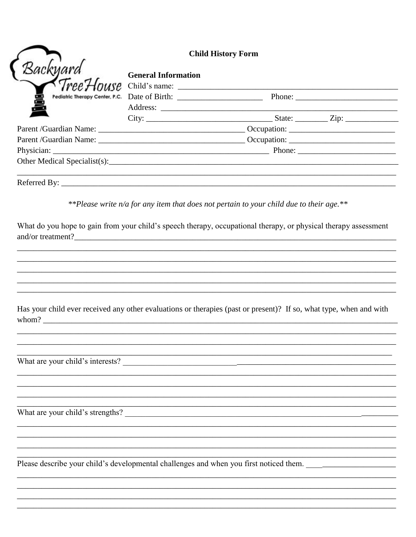| <b>Child History Form</b> |                                                                                                                                                                                                                                                                                                                                                          |  |
|---------------------------|----------------------------------------------------------------------------------------------------------------------------------------------------------------------------------------------------------------------------------------------------------------------------------------------------------------------------------------------------------|--|
|                           | <b>General Information</b>                                                                                                                                                                                                                                                                                                                               |  |
|                           |                                                                                                                                                                                                                                                                                                                                                          |  |
|                           |                                                                                                                                                                                                                                                                                                                                                          |  |
|                           |                                                                                                                                                                                                                                                                                                                                                          |  |
|                           |                                                                                                                                                                                                                                                                                                                                                          |  |
|                           |                                                                                                                                                                                                                                                                                                                                                          |  |
|                           |                                                                                                                                                                                                                                                                                                                                                          |  |
|                           |                                                                                                                                                                                                                                                                                                                                                          |  |
|                           | **Please write $n/a$ for any item that does not pertain to your child due to their age.**                                                                                                                                                                                                                                                                |  |
|                           | What do you hope to gain from your child's speech therapy, occupational therapy, or physical therapy assessment<br>and/or treatment?<br><u> and</u> in the same state of the same state of the same state of the same state of the same state of the same state of the same state of the same state of the same state of the same state of the same stat |  |
|                           | Has your child ever received any other evaluations or therapies (past or present)? If so, what type, when and with                                                                                                                                                                                                                                       |  |

What are your child's strengths?

Please describe your child's developmental challenges and when you first noticed them. \_\_\_\_\_\_\_\_\_\_\_\_\_\_\_\_\_\_\_\_\_\_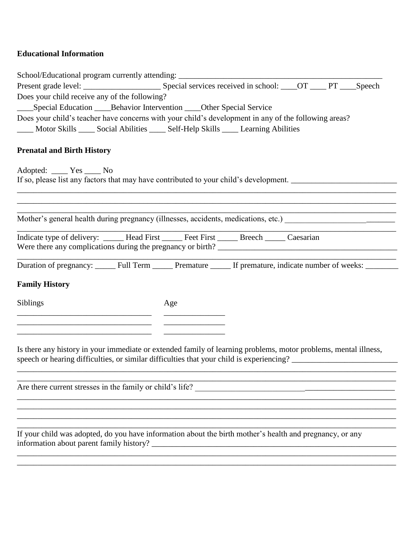## **Educational Information**

|                                                                                                                | School/Educational program currently attending: ________________________________                                |  |  |
|----------------------------------------------------------------------------------------------------------------|-----------------------------------------------------------------------------------------------------------------|--|--|
|                                                                                                                |                                                                                                                 |  |  |
| Does your child receive any of the following?                                                                  |                                                                                                                 |  |  |
|                                                                                                                | ______Special Education ______Behavior Intervention _____Other Special Service                                  |  |  |
|                                                                                                                | Does your child's teacher have concerns with your child's development in any of the following areas?            |  |  |
|                                                                                                                | Motor Skills _____ Social Abilities _____ Self-Help Skills _____ Learning Abilities                             |  |  |
|                                                                                                                |                                                                                                                 |  |  |
| <b>Prenatal and Birth History</b>                                                                              |                                                                                                                 |  |  |
| Adopted: <u>Yes</u> Mo                                                                                         |                                                                                                                 |  |  |
|                                                                                                                | If so, please list any factors that may have contributed to your child's development. ________________________  |  |  |
|                                                                                                                |                                                                                                                 |  |  |
|                                                                                                                | ,我们也不能在这里的时候,我们也不能在这里的时候,我们也不能会在这里,我们也不能会不能会不能会不能会不能会不能会不能会。""我们的是我们的,我们也不能会不能会不                                |  |  |
|                                                                                                                |                                                                                                                 |  |  |
| Mother's general health during pregnancy (illnesses, accidents, medications, etc.) ___________________________ |                                                                                                                 |  |  |
|                                                                                                                | Indicate type of delivery: _____ Head First _____ Feet First _____ Breech _____ Caesarian                       |  |  |
|                                                                                                                |                                                                                                                 |  |  |
|                                                                                                                |                                                                                                                 |  |  |
|                                                                                                                | Duration of pregnancy: ______ Full Term ______ Premature ______ If premature, indicate number of weeks: ______  |  |  |
| <b>Family History</b>                                                                                          |                                                                                                                 |  |  |
|                                                                                                                |                                                                                                                 |  |  |
| <b>Siblings</b>                                                                                                | Age                                                                                                             |  |  |
|                                                                                                                |                                                                                                                 |  |  |
| the control of the control of the control of the control of the control of the control of                      |                                                                                                                 |  |  |
|                                                                                                                |                                                                                                                 |  |  |
|                                                                                                                | Is there any history in your immediate or extended family of learning problems, motor problems, mental illness, |  |  |
|                                                                                                                | speech or hearing difficulties, or similar difficulties that your child is experiencing? _____________________  |  |  |
|                                                                                                                |                                                                                                                 |  |  |
|                                                                                                                | Are there current stresses in the family or child's life?                                                       |  |  |
|                                                                                                                |                                                                                                                 |  |  |
|                                                                                                                |                                                                                                                 |  |  |
|                                                                                                                |                                                                                                                 |  |  |
|                                                                                                                | If your child was adopted, do you have information about the birth mother's health and pregnancy, or any        |  |  |
| information about parent family history?                                                                       |                                                                                                                 |  |  |

\_\_\_\_\_\_\_\_\_\_\_\_\_\_\_\_\_\_\_\_\_\_\_\_\_\_\_\_\_\_\_\_\_\_\_\_\_\_\_\_\_\_\_\_\_\_\_\_\_\_\_\_\_\_\_\_\_\_\_\_\_\_\_\_\_\_\_\_\_\_\_\_\_\_\_\_\_\_\_\_\_\_\_\_\_\_\_\_\_\_\_\_\_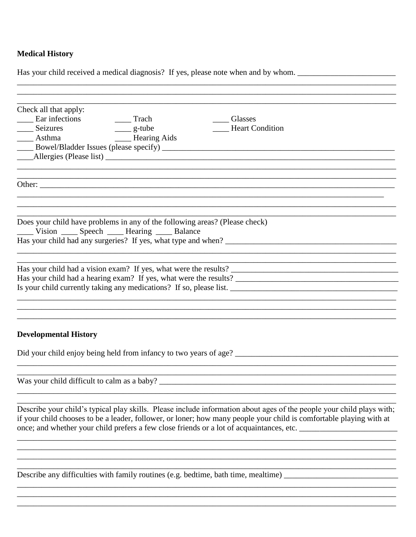## **Medical History**

| Has your child received a medical diagnosis? If yes, please note when and by whom.                                                                                                                                                           |
|----------------------------------------------------------------------------------------------------------------------------------------------------------------------------------------------------------------------------------------------|
|                                                                                                                                                                                                                                              |
| Check all that apply:<br>Ear infections<br>Trach<br>Glasses<br><b>Heart Condition</b><br>___ Seizures<br>$\frac{1}{2}$ g-tube<br>_______ Hearing Aids<br>___ Asthma                                                                          |
|                                                                                                                                                                                                                                              |
| Does your child have problems in any of the following areas? (Please check)<br>_____ Vision _____ Speech _____ Hearing _____ Balance                                                                                                         |
|                                                                                                                                                                                                                                              |
| <b>Developmental History</b>                                                                                                                                                                                                                 |
| Did your child enjoy being held from infancy to two years of age?                                                                                                                                                                            |
| Was your child difficult to calm as a baby?                                                                                                                                                                                                  |
| Describe your child's typical play skills. Please include information about ages of the people your child plays with;<br>if your child chooses to be a leader, follower, or loner; how many people your child is comfortable playing with at |
| Describe any difficulties with family routines (e.g. bedtime, bath time, mealtime) ___________________________                                                                                                                               |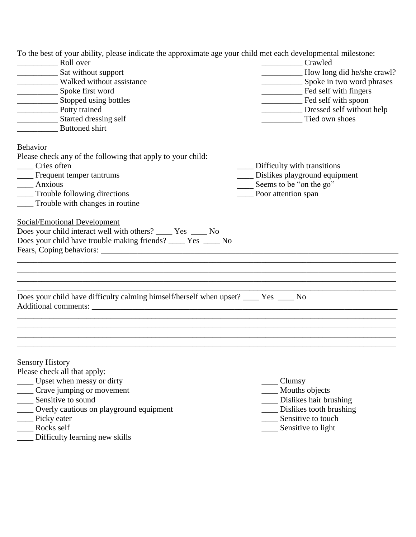To the best of your ability, please indicate the approximate age your child met each developmental milestone:

| To the best of your ability, prease murcate the approximate age your child met each developmental infesione.                             |                                                    |
|------------------------------------------------------------------------------------------------------------------------------------------|----------------------------------------------------|
| Roll over                                                                                                                                | Crawled                                            |
| Sat without support<br>Walked without assistance                                                                                         | How long did he/she crawl?                         |
| Spoke first word                                                                                                                         | Spoke in two word phrases<br>Fed self with fingers |
|                                                                                                                                          |                                                    |
| Stopped using bottles                                                                                                                    | Fed self with spoon                                |
| Potty trained                                                                                                                            | Dressed self without help                          |
| Started dressing self<br><b>Buttoned</b> shirt                                                                                           | Tied own shoes                                     |
|                                                                                                                                          |                                                    |
| Behavior                                                                                                                                 |                                                    |
| Please check any of the following that apply to your child:                                                                              |                                                    |
| Cries often                                                                                                                              | Difficulty with transitions                        |
| ___ Frequent temper tantrums                                                                                                             | ___ Dislikes playground equipment                  |
| ____ Anxious                                                                                                                             | Seems to be "on the go"                            |
| ___ Trouble following directions                                                                                                         | Poor attention span                                |
| Trouble with changes in routine                                                                                                          |                                                    |
| Does your child have trouble making friends? _____ Yes _____ No                                                                          |                                                    |
| Does your child have difficulty calming himself/herself when upset? ____ Yes ____ No                                                     |                                                    |
| <b>Sensory History</b><br>Please check all that apply:<br>_ Upset when messy or dirty<br>Crave jumping or movement<br>Sensitive to sound | Clumsy<br>Mouths objects<br>Dislikes hair brushing |
| Overly cautious on playground equipment                                                                                                  | Dislikes tooth brushing                            |
| Picky eater                                                                                                                              | Sensitive to touch                                 |
| Rocks self                                                                                                                               | Sensitive to light                                 |

\_\_\_\_ Difficulty learning new skills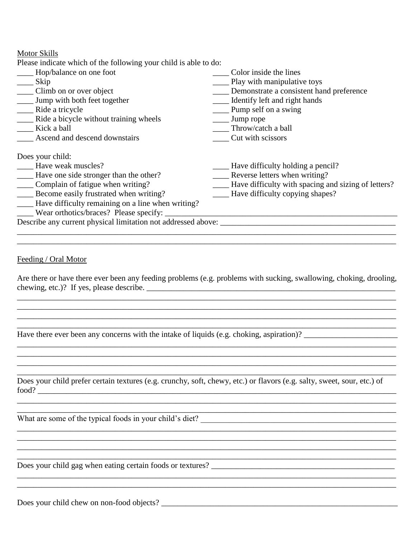Motor Skills

| Hop/balance on one foot                                       | Color inside the lines                              |
|---------------------------------------------------------------|-----------------------------------------------------|
| Skip                                                          | Play with manipulative toys                         |
| __ Climb on or over object                                    | Demonstrate a consistent hand preference            |
| <b>Jump</b> with both feet together                           | Identify left and right hands                       |
| Ride a tricycle                                               | Pump self on a swing                                |
| _______ Ride a bicycle without training wheels                | $\frac{1}{2}$ Jump rope                             |
| Kick a ball                                                   | Throw/catch a ball                                  |
| <b>Ascend and descend downstairs</b>                          | Cut with scissors                                   |
| Does your child:                                              |                                                     |
| Have weak muscles?                                            | Have difficulty holding a pencil?                   |
| Have one side stronger than the other?                        | Reverse letters when writing?                       |
| Complain of fatigue when writing?                             | Have difficulty with spacing and sizing of letters? |
| Become easily frustrated when writing?                        | Have difficulty copying shapes?                     |
| Have difficulty remaining on a line when writing?             |                                                     |
| __ Wear orthotics/braces? Please specify:                     |                                                     |
| Describe any current physical limitation not addressed above: |                                                     |
|                                                               |                                                     |

Feeding / Oral Motor

Are there or have there ever been any feeding problems (e.g. problems with sucking, swallowing, choking, drooling, chewing, etc.)? If yes, please describe.  $\Box$ 

\_\_\_\_\_\_\_\_\_\_\_\_\_\_\_\_\_\_\_\_\_\_\_\_\_\_\_\_\_\_\_\_\_\_\_\_\_\_\_\_\_\_\_\_\_\_\_\_\_\_\_\_\_\_\_\_\_\_\_\_\_\_\_\_\_\_\_\_\_\_\_\_\_\_\_\_\_\_\_\_\_\_\_\_\_\_\_\_\_\_\_\_\_ \_\_\_\_\_\_\_\_\_\_\_\_\_\_\_\_\_\_\_\_\_\_\_\_\_\_\_\_\_\_\_\_\_\_\_\_\_\_\_\_\_\_\_\_\_\_\_\_\_\_\_\_\_\_\_\_\_\_\_\_\_\_\_\_\_\_\_\_\_\_\_\_\_\_\_\_\_\_\_\_\_\_\_\_\_\_\_\_\_\_\_\_\_ \_\_\_\_\_\_\_\_\_\_\_\_\_\_\_\_\_\_\_\_\_\_\_\_\_\_\_\_\_\_\_\_\_\_\_\_\_\_\_\_\_\_\_\_\_\_\_\_\_\_\_\_\_\_\_\_\_\_\_\_\_\_\_\_\_\_\_\_\_\_\_\_\_\_\_\_\_\_\_\_\_\_\_\_\_\_\_\_\_\_\_\_\_ \_\_\_\_\_\_\_\_\_\_\_\_\_\_\_\_\_\_\_\_\_\_\_\_\_\_\_\_\_\_\_\_\_\_\_\_\_\_\_\_\_\_\_\_\_\_\_\_\_\_\_\_\_\_\_\_\_\_\_\_\_\_\_\_\_\_\_\_\_\_\_\_\_\_\_\_\_\_\_\_\_\_\_\_\_\_\_\_\_\_\_\_\_

\_\_\_\_\_\_\_\_\_\_\_\_\_\_\_\_\_\_\_\_\_\_\_\_\_\_\_\_\_\_\_\_\_\_\_\_\_\_\_\_\_\_\_\_\_\_\_\_\_\_\_\_\_\_\_\_\_\_\_\_\_\_\_\_\_\_\_\_\_\_\_\_\_\_\_\_\_\_\_\_\_\_\_\_\_\_\_\_\_\_\_\_\_

\_\_\_\_\_\_\_\_\_\_\_\_\_\_\_\_\_\_\_\_\_\_\_\_\_\_\_\_\_\_\_\_\_\_\_\_\_\_\_\_\_\_\_\_\_\_\_\_\_\_\_\_\_\_\_\_\_\_\_\_\_\_\_\_\_\_\_\_\_\_\_\_\_\_\_\_\_\_\_\_\_\_\_\_\_\_\_\_\_\_\_\_\_ \_\_\_\_\_\_\_\_\_\_\_\_\_\_\_\_\_\_\_\_\_\_\_\_\_\_\_\_\_\_\_\_\_\_\_\_\_\_\_\_\_\_\_\_\_\_\_\_\_\_\_\_\_\_\_\_\_\_\_\_\_\_\_\_\_\_\_\_\_\_\_\_\_\_\_\_\_\_\_\_\_\_\_\_\_\_\_\_\_\_\_\_\_

\_\_\_\_\_\_\_\_\_\_\_\_\_\_\_\_\_\_\_\_\_\_\_\_\_\_\_\_\_\_\_\_\_\_\_\_\_\_\_\_\_\_\_\_\_\_\_\_\_\_\_\_\_\_\_\_\_\_\_\_\_\_\_\_\_\_\_\_\_\_\_\_\_\_\_\_\_\_\_\_\_\_\_\_\_\_\_\_\_\_\_\_\_ \_\_\_\_\_\_\_\_\_\_\_\_\_\_\_\_\_\_\_\_\_\_\_\_\_\_\_\_\_\_\_\_\_\_\_\_\_\_\_\_\_\_\_\_\_\_\_\_\_\_\_\_\_\_\_\_\_\_\_\_\_\_\_\_\_\_\_\_\_\_\_\_\_\_\_\_\_\_\_\_\_\_\_\_\_\_\_\_\_\_\_\_\_

\_\_\_\_\_\_\_\_\_\_\_\_\_\_\_\_\_\_\_\_\_\_\_\_\_\_\_\_\_\_\_\_\_\_\_\_\_\_\_\_\_\_\_\_\_\_\_\_\_\_\_\_\_\_\_\_\_\_\_\_\_\_\_\_\_\_\_\_\_\_\_\_\_\_\_\_\_\_\_\_\_\_\_\_\_\_\_\_\_\_\_\_\_

\_\_\_\_\_\_\_\_\_\_\_\_\_\_\_\_\_\_\_\_\_\_\_\_\_\_\_\_\_\_\_\_\_\_\_\_\_\_\_\_\_\_\_\_\_\_\_\_\_\_\_\_\_\_\_\_\_\_\_\_\_\_\_\_\_\_\_\_\_\_\_\_\_\_\_\_\_\_\_\_\_\_\_\_\_\_\_\_\_\_\_\_\_

\_\_\_\_\_\_\_\_\_\_\_\_\_\_\_\_\_\_\_\_\_\_\_\_\_\_\_\_\_\_\_\_\_\_\_\_\_\_\_\_\_\_\_\_\_\_\_\_\_\_\_\_\_\_\_\_\_\_\_\_\_\_\_\_\_\_\_\_\_\_\_\_\_\_\_\_\_\_\_\_\_\_\_\_\_\_\_\_\_\_\_\_\_ \_\_\_\_\_\_\_\_\_\_\_\_\_\_\_\_\_\_\_\_\_\_\_\_\_\_\_\_\_\_\_\_\_\_\_\_\_\_\_\_\_\_\_\_\_\_\_\_\_\_\_\_\_\_\_\_\_\_\_\_\_\_\_\_\_\_\_\_\_\_\_\_\_\_\_\_\_\_\_\_\_\_\_\_\_\_\_\_\_\_\_\_\_

\_\_\_\_\_\_\_\_\_\_\_\_\_\_\_\_\_\_\_\_\_\_\_\_\_\_\_\_\_\_\_\_\_\_\_\_\_\_\_\_\_\_\_\_\_\_\_\_\_\_\_\_\_\_\_\_\_\_\_\_\_\_\_\_\_\_\_\_\_\_\_\_\_\_\_\_\_\_\_\_\_\_\_\_\_\_\_\_\_\_\_\_\_

Have there ever been any concerns with the intake of liquids (e.g. choking, aspiration)?

Does your child prefer certain textures (e.g. crunchy, soft, chewy, etc.) or flavors (e.g. salty, sweet, sour, etc.) of food? \_\_\_\_\_\_\_\_\_\_\_\_\_\_\_\_\_\_\_\_\_\_\_\_\_\_\_\_\_\_\_\_\_\_\_\_\_\_\_\_\_\_\_\_\_\_\_\_\_\_\_\_\_\_\_\_\_\_\_\_\_\_\_\_\_\_\_\_\_\_\_\_\_\_\_\_\_\_\_\_\_\_\_\_\_\_\_\_

What are some of the typical foods in your child's diet?

Does your child gag when eating certain foods or textures? \_\_\_\_\_\_\_\_\_\_\_\_\_\_\_\_\_\_\_\_\_\_\_\_\_\_\_\_\_\_\_\_\_\_\_\_\_\_\_\_\_\_\_\_\_

Does your child chew on non-food objects? \_\_\_\_\_\_\_\_\_\_\_\_\_\_\_\_\_\_\_\_\_\_\_\_\_\_\_\_\_\_\_\_\_\_\_\_\_\_\_\_\_\_\_\_\_\_\_\_\_\_\_\_\_\_\_\_\_\_